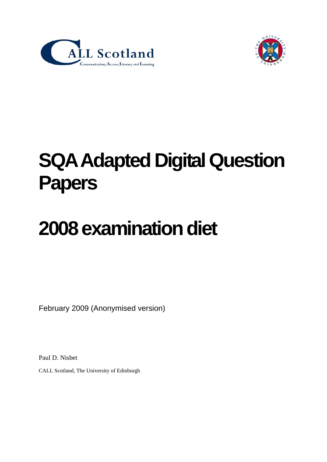



## **SQA Adapted Digital Question Papers**

# **2008 examination diet**

February 2009 (Anonymised version)

Paul D. Nisbet

CALL Scotland, The University of Edinburgh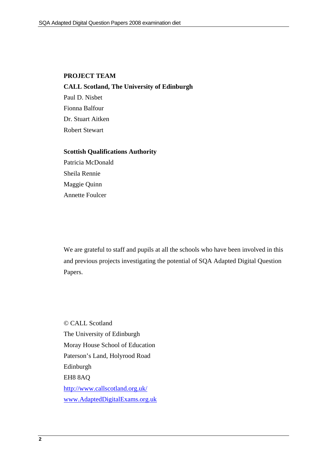#### **PROJECT TEAM**

**CALL Scotland, The University of Edinburgh**  Paul D. Nisbet Fionna Balfour Dr. Stuart Aitken Robert Stewart

#### **Scottish Qualifications Authority**

Patricia McDonald Sheila Rennie Maggie Quinn Annette Foulcer

We are grateful to staff and pupils at all the schools who have been involved in this and previous projects investigating the potential of SQA Adapted Digital Question Papers.

© CALL Scotland The University of Edinburgh Moray House School of Education Paterson's Land, Holyrood Road Edinburgh EH8 8AQ <http://www.callscotland.org.uk/> [www.AdaptedDigitalExams.org.uk](http://www.adapteddigitalexams.org.uk/)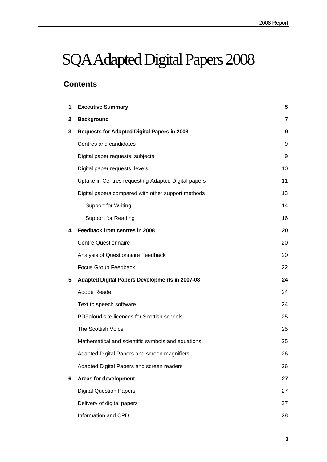## SQA Adapted Digital Papers 2008

## **Contents**

| 1. | <b>Executive Summary</b>                            | 5  |
|----|-----------------------------------------------------|----|
| 2. | <b>Background</b>                                   | 7  |
| 3. | <b>Requests for Adapted Digital Papers in 2008</b>  | 9  |
|    | Centres and candidates                              | 9  |
|    | Digital paper requests: subjects                    | 9  |
|    | Digital paper requests: levels                      | 10 |
|    | Uptake in Centres requesting Adapted Digital papers | 11 |
|    | Digital papers compared with other support methods  | 13 |
|    | <b>Support for Writing</b>                          | 14 |
|    | <b>Support for Reading</b>                          | 16 |
| 4. | Feedback from centres in 2008                       | 20 |
|    | <b>Centre Questionnaire</b>                         | 20 |
|    | Analysis of Questionnaire Feedback                  | 20 |
|    | Focus Group Feedback                                | 22 |
| 5. | Adapted Digital Papers Developments in 2007-08      | 24 |
|    | Adobe Reader                                        | 24 |
|    | Text to speech software                             | 24 |
|    | PDFaloud site licences for Scottish schools         | 25 |
|    | The Scottish Voice                                  | 25 |
|    | Mathematical and scientific symbols and equations   | 25 |
|    | Adapted Digital Papers and screen magnifiers        | 26 |
|    | Adapted Digital Papers and screen readers           | 26 |
| 6. | <b>Areas for development</b>                        | 27 |
|    | <b>Digital Question Papers</b>                      | 27 |
|    | Delivery of digital papers                          | 27 |
|    | Information and CPD                                 | 28 |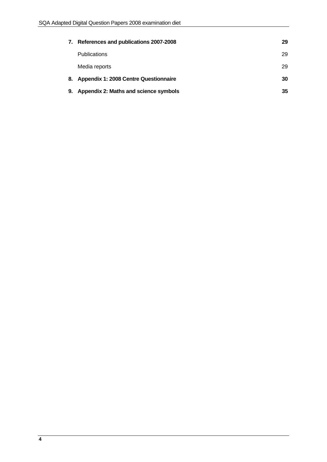| 7. | References and publications 2007-2008    | 29 |
|----|------------------------------------------|----|
|    | <b>Publications</b>                      | 29 |
|    | Media reports                            | 29 |
|    | 8. Appendix 1: 2008 Centre Questionnaire | 30 |
| 9. | Appendix 2: Maths and science symbols    | 35 |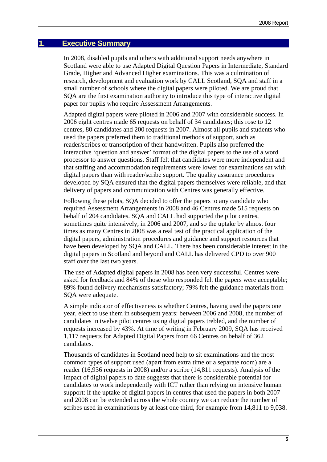#### <span id="page-4-0"></span>**1. Executive Summary**

In 2008, disabled pupils and others with additional support needs anywhere in Scotland were able to use Adapted Digital Question Papers in Intermediate, Standard Grade, Higher and Advanced Higher examinations. This was a culmination of research, development and evaluation work by CALL Scotland, SQA and staff in a small number of schools where the digital papers were piloted. We are proud that SQA are the first examination authority to introduce this type of interactive digital paper for pupils who require Assessment Arrangements.

Adapted digital papers were piloted in 2006 and 2007 with considerable success. In 2006 eight centres made 65 requests on behalf of 34 candidates; this rose to 12 centres, 80 candidates and 200 requests in 2007. Almost all pupils and students who used the papers preferred them to traditional methods of support, such as reader/scribes or transcription of their handwritten. Pupils also preferred the interactive 'question and answer' format of the digital papers to the use of a word processor to answer questions. Staff felt that candidates were more independent and that staffing and accommodation requirements were lower for examinations sat with digital papers than with reader/scribe support. The quality assurance procedures developed by SQA ensured that the digital papers themselves were reliable, and that delivery of papers and communication with Centres was generally effective.

Following these pilots, SQA decided to offer the papers to any candidate who required Assessment Arrangements in 2008 and 46 Centres made 515 requests on behalf of 204 candidates. SQA and CALL had supported the pilot centres, sometimes quite intensively, in 2006 and 2007, and so the uptake by almost four times as many Centres in 2008 was a real test of the practical application of the digital papers, administration procedures and guidance and support resources that have been developed by SQA and CALL. There has been considerable interest in the digital papers in Scotland and beyond and CALL has delivered CPD to over 900 staff over the last two years.

The use of Adapted digital papers in 2008 has been very successful. Centres were asked for feedback and 84% of those who responded felt the papers were acceptable; 89% found delivery mechanisms satisfactory; 79% felt the guidance materials from SQA were adequate.

A simple indicator of effectiveness is whether Centres, having used the papers one year, elect to use them in subsequent years: between 2006 and 2008, the number of candidates in twelve pilot centres using digital papers trebled, and the number of requests increased by 43%. At time of writing in February 2009, SQA has received 1,117 requests for Adapted Digital Papers from 66 Centres on behalf of 362 candidates.

Thousands of candidates in Scotland need help to sit examinations and the most common types of support used (apart from extra time or a separate room) are a reader (16,936 requests in 2008) and/or a scribe (14,811 requests). Analysis of the impact of digital papers to date suggests that there is considerable potential for candidates to work independently with ICT rather than relying on intensive human support: if the uptake of digital papers in centres that used the papers in both 2007 and 2008 can be extended across the whole country we can reduce the number of scribes used in examinations by at least one third, for example from 14,811 to 9,038.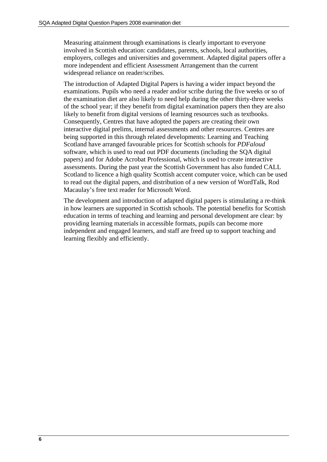Measuring attainment through examinations is clearly important to everyone involved in Scottish education: candidates, parents, schools, local authorities, employers, colleges and universities and government. Adapted digital papers offer a more independent and efficient Assessment Arrangement than the current widespread reliance on reader/scribes.

The introduction of Adapted Digital Papers is having a wider impact beyond the examinations. Pupils who need a reader and/or scribe during the five weeks or so of the examination diet are also likely to need help during the other thirty-three weeks of the school year; if they benefit from digital examination papers then they are also likely to benefit from digital versions of learning resources such as textbooks. Consequently, Centres that have adopted the papers are creating their own interactive digital prelims, internal assessments and other resources. Centres are being supported in this through related developments: Learning and Teaching Scotland have arranged favourable prices for Scottish schools for *PDFaloud* software, which is used to read out PDF documents (including the SQA digital papers) and for Adobe Acrobat Professional, which is used to create interactive assessments. During the past year the Scottish Government has also funded CALL Scotland to licence a high quality Scottish accent computer voice, which can be used to read out the digital papers, and distribution of a new version of WordTalk, Rod Macaulay's free text reader for Microsoft Word.

The development and introduction of adapted digital papers is stimulating a re-think in how learners are supported in Scottish schools. The potential benefits for Scottish education in terms of teaching and learning and personal development are clear: by providing learning materials in accessible formats, pupils can become more independent and engaged learners, and staff are freed up to support teaching and learning flexibly and efficiently.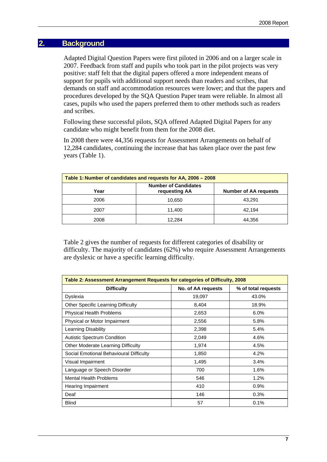#### <span id="page-6-0"></span>**2. Background**

Adapted Digital Question Papers were first piloted in 2006 and on a larger scale in 2007. Feedback from staff and pupils who took part in the pilot projects was very positive: staff felt that the digital papers offered a more independent means of support for pupils with additional support needs than readers and scribes, that demands on staff and accommodation resources were lower; and that the papers and procedures developed by the SQA Question Paper team were reliable. In almost all cases, pupils who used the papers preferred them to other methods such as readers and scribes.

Following these successful pilots, SQA offered Adapted Digital Papers for any candidate who might benefit from them for the 2008 diet.

In 2008 there were 44,356 requests for Assessment Arrangements on behalf of 12,284 candidates, continuing the increase that has taken place over the past few years (Table 1).

| Table 1: Number of candidates and requests for AA, 2006 – 2008 |                              |        |  |  |  |
|----------------------------------------------------------------|------------------------------|--------|--|--|--|
| Year                                                           | <b>Number of AA requests</b> |        |  |  |  |
| 2006                                                           | 10,650                       | 43,291 |  |  |  |
| 2007                                                           | 11.400                       | 42.194 |  |  |  |
| 2008                                                           | 12.284                       | 44,356 |  |  |  |

Table 2 gives the number of requests for different categories of disability or difficulty. The majority of candidates (62%) who require Assessment Arrangements are dyslexic or have a specific learning difficulty.

| Table 2: Assessment Arrangement Requests for categories of Difficulty, 2008 |                     |       |  |  |  |
|-----------------------------------------------------------------------------|---------------------|-------|--|--|--|
| <b>Difficulty</b>                                                           | % of total requests |       |  |  |  |
| Dyslexia                                                                    | 19,097              | 43.0% |  |  |  |
| <b>Other Specific Learning Difficulty</b>                                   | 8,404               | 18.9% |  |  |  |
| <b>Physical Health Problems</b>                                             | 2,653               | 6.0%  |  |  |  |
| Physical or Motor Impairment                                                | 2,556               | 5.8%  |  |  |  |
| Learning Disability                                                         | 2,398               | 5.4%  |  |  |  |
| <b>Autistic Spectrum Condition</b>                                          | 2,049               | 4.6%  |  |  |  |
| <b>Other Moderate Learning Difficulty</b>                                   | 1,974               | 4.5%  |  |  |  |
| Social Emotional Behavioural Difficulty                                     | 1,850               | 4.2%  |  |  |  |
| Visual Impairment                                                           | 1,495               | 3.4%  |  |  |  |
| Language or Speech Disorder                                                 | 700                 | 1.6%  |  |  |  |
| <b>Mental Health Problems</b>                                               | 546                 | 1.2%  |  |  |  |
| Hearing Impairment                                                          | 410                 | 0.9%  |  |  |  |
| Deaf                                                                        | 146                 | 0.3%  |  |  |  |
| <b>Blind</b>                                                                | 57                  | 0.1%  |  |  |  |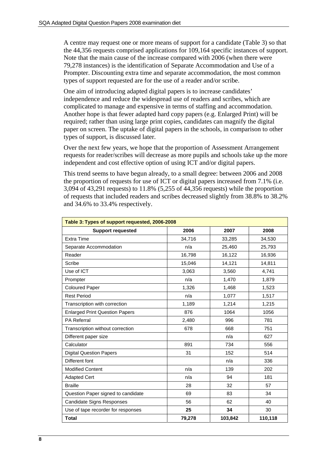A centre may request one or more means of support for a candidate (Table 3) so that the 44,356 requests comprised applications for 109,164 specific instances of support. Note that the main cause of the increase compared with 2006 (when there were 79,278 instances) is the identification of Separate Accommodation and Use of a Prompter. Discounting extra time and separate accommodation, the most common types of support requested are for the use of a reader and/or scribe.

One aim of introducing adapted digital papers is to increase candidates' independence and reduce the widespread use of readers and scribes, which are complicated to manage and expensive in terms of staffing and accommodation. Another hope is that fewer adapted hard copy papers (e.g. Enlarged Print) will be required; rather than using large print copies, candidates can magnify the digital paper on screen. The uptake of digital papers in the schools, in comparison to other types of support, is discussed later.

Over the next few years, we hope that the proportion of Assessment Arrangement requests for reader/scribes will decrease as more pupils and schools take up the more independent and cost effective option of using ICT and/or digital papers.

This trend seems to have begun already, to a small degree: between 2006 and 2008 the proportion of requests for use of ICT or digital papers increased from 7.1% (i.e. 3,094 of 43,291 requests) to 11.8% (5,255 of 44,356 requests) while the proportion of requests that included readers and scribes decreased slightly from 38.8% to 38.2% and 34.6% to 33.4% respectively.

| Table 3: Types of support requested, 2006-2008 |        |         |         |  |  |  |
|------------------------------------------------|--------|---------|---------|--|--|--|
| <b>Support requested</b>                       | 2006   | 2007    | 2008    |  |  |  |
| <b>Extra Time</b>                              | 34,716 | 33,285  | 34,530  |  |  |  |
| Separate Accommodation                         | n/a    | 25,460  | 25,793  |  |  |  |
| Reader                                         | 16,798 | 16,122  | 16,936  |  |  |  |
| Scribe                                         | 15,046 | 14,121  | 14,811  |  |  |  |
| Use of ICT                                     | 3,063  | 3,560   | 4,741   |  |  |  |
| Prompter                                       | n/a    | 1,470   | 1,879   |  |  |  |
| <b>Coloured Paper</b>                          | 1,326  | 1,468   | 1,523   |  |  |  |
| <b>Rest Period</b>                             | n/a    | 1,077   | 1,517   |  |  |  |
| Transcription with correction                  | 1,189  | 1,214   | 1,215   |  |  |  |
| <b>Enlarged Print Question Papers</b>          | 876    | 1064    | 1056    |  |  |  |
| <b>PA Referral</b>                             | 2,480  | 996     | 781     |  |  |  |
| Transcription without correction               | 678    | 668     | 751     |  |  |  |
| Different paper size                           |        | n/a     | 627     |  |  |  |
| Calculator                                     | 891    | 734     | 556     |  |  |  |
| <b>Digital Question Papers</b>                 | 31     | 152     | 514     |  |  |  |
| Different font                                 |        | n/a     | 336     |  |  |  |
| <b>Modified Content</b>                        | n/a    | 139     | 202     |  |  |  |
| <b>Adapted Cert</b>                            | n/a    | 94      | 181     |  |  |  |
| <b>Braille</b>                                 | 28     | 32      | 57      |  |  |  |
| Question Paper signed to candidate             | 69     | 83      | 34      |  |  |  |
| <b>Candidate Signs Responses</b>               | 56     | 62      | 40      |  |  |  |
| Use of tape recorder for responses             | 25     | 34      | 30      |  |  |  |
| <b>Total</b>                                   | 79,278 | 103,842 | 110,118 |  |  |  |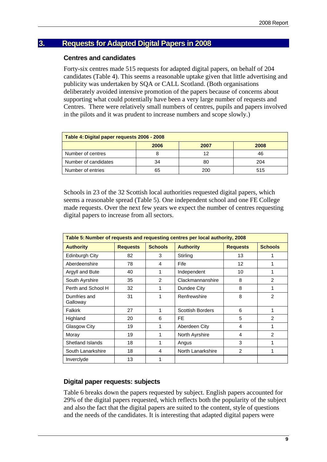## <span id="page-8-1"></span><span id="page-8-0"></span>**3. Requests for Adapted Digital Papers in 2008**

#### **Centres and candidates**

Forty-six centres made 515 requests for adapted digital papers, on behalf of 204 candidates (Table 4). This seems a reasonable uptake given that little advertising and publicity was undertaken by SQA or CALL Scotland. (Both organisations deliberately avoided intensive promotion of the papers because of concerns about supporting what could potentially have been a very large number of requests and Centres. There were relatively small numbers of centres, pupils and papers involved in the pilots and it was prudent to increase numbers and scope slowly.)

| Table 4: Digital paper requests 2006 - 2008 |    |    |     |  |  |  |
|---------------------------------------------|----|----|-----|--|--|--|
| 2006<br>2008<br>2007                        |    |    |     |  |  |  |
| Number of centres                           |    | 12 | 46  |  |  |  |
| Number of candidates                        | 34 | 80 | 204 |  |  |  |
| Number of entries<br>65<br>200<br>515       |    |    |     |  |  |  |

Schools in 23 of the 32 Scottish local authorities requested digital papers, which seems a reasonable spread (Table 5). One independent school and one FE College made requests. Over the next few years we expect the number of centres requesting digital papers to increase from all sectors.

| Table 5: Number of requests and requesting centres per local authority, 2008 |                 |                |                         |                   |                |  |  |
|------------------------------------------------------------------------------|-----------------|----------------|-------------------------|-------------------|----------------|--|--|
| <b>Authority</b>                                                             | <b>Requests</b> | <b>Schools</b> |                         |                   |                |  |  |
| Edinburgh City                                                               | 82              | 3              | Stirling                | 13                | 1              |  |  |
| Aberdeenshire                                                                | 78              | 4              | Fife                    | $12 \overline{ }$ | 1              |  |  |
| Argyll and Bute                                                              | 40              | 1              | Independent             | 10                | 1              |  |  |
| South Ayrshire                                                               | 35              | $\mathcal{P}$  | Clackmannanshire        | 8                 | $\mathfrak{p}$ |  |  |
| Perth and School H                                                           | 32              | 1              | Dundee City             | 8                 | 1              |  |  |
| Dumfries and<br>Galloway                                                     | 31              | 1              | Renfrewshire            | 8                 | $\mathfrak{p}$ |  |  |
| <b>Falkirk</b>                                                               | 27              | 1              | <b>Scottish Borders</b> | 6                 | 1              |  |  |
| Highland                                                                     | 20              | 6              | FE.                     | 5                 | $\mathfrak{p}$ |  |  |
| Glasgow City                                                                 | 19              | 1              | Aberdeen City           | 4                 | 1              |  |  |
| Moray                                                                        | 19              | 1              | North Ayrshire          | 4                 | $\mathfrak{p}$ |  |  |
| Shetland Islands                                                             | 18              | 1              | Angus                   | 3                 | 1              |  |  |
| South Lanarkshire                                                            | 18              | 4              | North Lanarkshire       | $\overline{2}$    | 1              |  |  |
| Inverclyde                                                                   | 13              | 1              |                         |                   |                |  |  |

#### <span id="page-8-2"></span>**Digital paper requests: subjects**

Table 6 breaks down the papers requested by subject. English papers accounted for 29% of the digital papers requested, which reflects both the popularity of the subject and also the fact that the digital papers are suited to the content, style of questions and the needs of the candidates. It is interesting that adapted digital papers were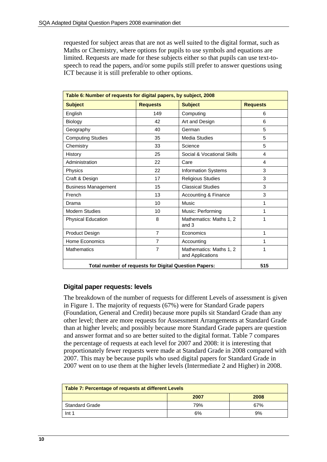requested for subject areas that are not as well suited to the digital format, such as Maths or Chemistry, where options for pupils to use symbols and equations are limited. Requests are made for these subjects either so that pupils can use text-tospeech to read the papers, and/or some pupils still prefer to answer questions using ICT because it is still preferable to other options.

| Table 6: Number of requests for digital papers, by subject, 2008 |                                |                                             |                 |  |  |  |
|------------------------------------------------------------------|--------------------------------|---------------------------------------------|-----------------|--|--|--|
| <b>Subject</b>                                                   | <b>Requests</b>                | <b>Subject</b>                              | <b>Requests</b> |  |  |  |
| English                                                          | 149                            | Computing                                   | 6               |  |  |  |
| Biology                                                          | 42                             | Art and Design                              | 6               |  |  |  |
| Geography                                                        | 40                             | German                                      | 5               |  |  |  |
| <b>Computing Studies</b>                                         | 35                             | Media Studies                               | 5               |  |  |  |
| Chemistry                                                        | 33                             | Science                                     | 5               |  |  |  |
| History                                                          | 25                             | Social & Vocational Skills                  | 4               |  |  |  |
| Administration                                                   | 22                             | Care                                        | 4               |  |  |  |
| Physics                                                          | 22                             | Information Systems                         | 3               |  |  |  |
| Craft & Design                                                   | 17                             | <b>Religious Studies</b>                    | 3               |  |  |  |
| <b>Business Management</b>                                       | <b>Classical Studies</b><br>15 |                                             | 3               |  |  |  |
| 13<br>French                                                     |                                | Accounting & Finance                        | 3               |  |  |  |
| Drama                                                            | 10                             | Music                                       | 1               |  |  |  |
| <b>Modern Studies</b>                                            | 10                             | Music: Performing                           |                 |  |  |  |
| <b>Physical Education</b>                                        | 8                              | Mathematics: Maths 1, 2<br>and 3            | 1               |  |  |  |
| $\overline{7}$<br>Product Design<br>Economics                    |                                | 1                                           |                 |  |  |  |
| Home Economics<br>7                                              |                                | Accounting                                  |                 |  |  |  |
| $\overline{7}$<br><b>Mathematics</b>                             |                                | Mathematics: Maths 1, 2<br>and Applications | 1               |  |  |  |
| <b>Total number of requests for Digital Question Papers:</b>     | 515                            |                                             |                 |  |  |  |

#### <span id="page-9-0"></span>**Digital paper requests: levels**

The breakdown of the number of requests for different Levels of assessment is given in Figure 1. The majority of requests (67%) were for Standard Grade papers (Foundation, General and Credit) because more pupils sit Standard Grade than any other level; there are more requests for Assessment Arrangements at Standard Grade than at higher levels; and possibly because more Standard Grade papers are question and answer format and so are better suited to the digital format. Table 7 compares the percentage of requests at each level for 2007 and 2008: it is interesting that proportionately fewer requests were made at Standard Grade in 2008 compared with 2007. This may be because pupils who used digital papers for Standard Grade in 2007 went on to use them at the higher levels (Intermediate 2 and Higher) in 2008.

| Table 7: Percentage of requests at different Levels |     |     |  |  |  |  |
|-----------------------------------------------------|-----|-----|--|--|--|--|
| 2008<br>2007                                        |     |     |  |  |  |  |
| Standard Grade                                      | 79% | 67% |  |  |  |  |
| Int <sub>1</sub>                                    | 6%  | 9%  |  |  |  |  |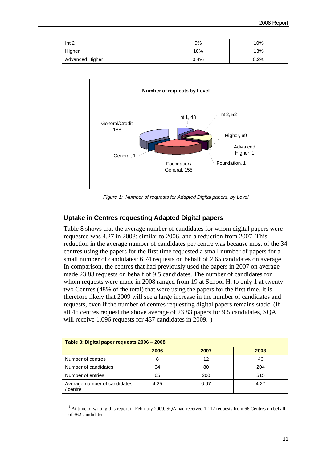| Int <sub>2</sub> | 5%   | 10%  |
|------------------|------|------|
| Higher           | 10%  | 13%  |
| Advanced Higher  | 0.4% | 0.2% |



*Figure 1: Number of requests for Adapted Digital papers, by Level* 

#### **Uptake in Centres requesting Adapted Digital papers**

<span id="page-10-0"></span>Table 8 shows that the average number of candidates for whom digital papers were requested was 4.27 in 2008: similar to 2006, and a reduction from 2007. This reduction in the average number of candidates per centre was because most of the 34 centres using the papers for the first time requested a small number of papers for a small number of candidates: 6.74 requests on behalf of 2.65 candidates on average. In comparison, the centres that had previously used the papers in 2007 on average made 23.83 requests on behalf of 9.5 candidates. The number of candidates for whom requests were made in 2008 ranged from 19 at School H, to only 1 at twentytwo Centres (48% of the total) that were using the papers for the first time. It is therefore likely that 2009 will see a large increase in the number of candidates and requests, even if the number of centres requesting digital papers remains static. (If all 46 centres request the above average of 23.83 papers for 9.5 candidates, SQA will receive  $1,096$  $1,096$  requests for 437 candidates in  $2009.^1$ )

| Table 8: Digital paper requests 2006 - 2008 |      |      |      |  |  |  |  |  |
|---------------------------------------------|------|------|------|--|--|--|--|--|
| 2006<br>2008<br>2007                        |      |      |      |  |  |  |  |  |
| Number of centres                           | 8    | 12   | 46   |  |  |  |  |  |
| Number of candidates                        | 34   | 80   | 204  |  |  |  |  |  |
| Number of entries                           | 65   | 200  | 515  |  |  |  |  |  |
| Average number of candidates<br>' centre    | 4.25 | 6.67 | 4.27 |  |  |  |  |  |

<span id="page-10-1"></span><sup>&</sup>lt;sup>1</sup> At time of writing this report in February 2009, SQA had received 1,117 requests from 66 Centres on behalf of 362 candidates.

 $\overline{\phantom{a}}$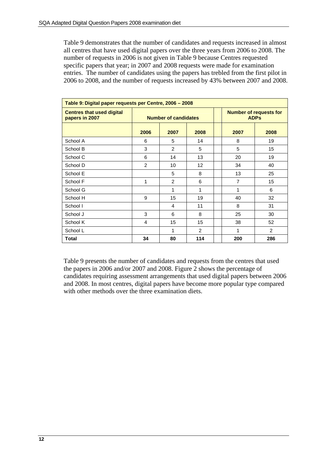Table 9 demonstrates that the number of candidates and requests increased in almost all centres that have used digital papers over the three years from 2006 to 2008. The number of requests in 2006 is not given in Table 9 because Centres requested specific papers that year; in 2007 and 2008 requests were made for examination entries. The number of candidates using the papers has trebled from the first pilot in 2006 to 2008, and the number of requests increased by 43% between 2007 and 2008.

| Table 9: Digital paper requests per Centre, 2006 - 2008 |                             |      |                |  |                                              |                |  |
|---------------------------------------------------------|-----------------------------|------|----------------|--|----------------------------------------------|----------------|--|
| <b>Centres that used digital</b><br>papers in 2007      | <b>Number of candidates</b> |      |                |  | <b>Number of requests for</b><br><b>ADPs</b> |                |  |
|                                                         | 2006                        | 2007 | 2008           |  | 2007                                         | 2008           |  |
| School A                                                | 6                           | 5    | 14             |  | 8                                            | 19             |  |
| School B                                                | 3                           | 2    | 5              |  | 5                                            | 15             |  |
| School C                                                | 6                           | 14   | 13             |  | 20                                           | 19             |  |
| School D                                                | 2                           | 10   | 12             |  | 34                                           | 40             |  |
| School E                                                |                             | 5    | 8              |  | 13                                           | 25             |  |
| School F                                                | 1                           | 2    | 6              |  | 7                                            | 15             |  |
| School G                                                |                             | 1    | 1              |  | 1                                            | 6              |  |
| School H                                                | 9                           | 15   | 19             |  | 40                                           | 32             |  |
| School I                                                |                             | 4    | 11             |  | 8                                            | 31             |  |
| School J                                                | 3                           | 6    | 8              |  | 25                                           | 30             |  |
| School K                                                | 4                           | 15   | 15             |  | 38                                           | 52             |  |
| School L                                                |                             | 1    | $\overline{2}$ |  | 1                                            | $\overline{2}$ |  |
| Total                                                   | 34                          | 80   | 114            |  | 200                                          | 286            |  |

Table 9 presents the number of candidates and requests from the centres that used the papers in 2006 and/or 2007 and 2008. Figure 2 shows the percentage of candidates requiring assessment arrangements that used digital papers between 2006 and 2008. In most centres, digital papers have become more popular type compared with other methods over the three examination diets.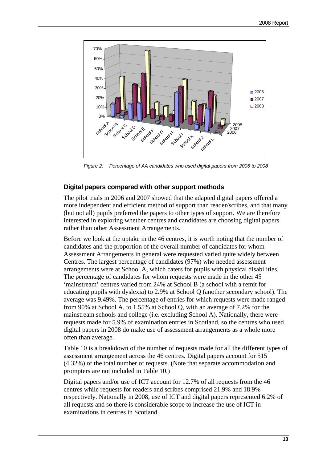

*Figure 2: Percentage of AA candidates who used digital papers from 2006 to 2008* 

#### **Digital papers compared with other support methods**

<span id="page-12-0"></span>The pilot trials in 2006 and 2007 showed that the adapted digital papers offered a more independent and efficient method of support than reader/scribes, and that many (but not all) pupils preferred the papers to other types of support. We are therefore interested in exploring whether centres and candidates are choosing digital papers rather than other Assessment Arrangements.

Before we look at the uptake in the 46 centres, it is worth noting that the number of candidates and the proportion of the overall number of candidates for whom Assessment Arrangements in general were requested varied quite widely between Centres. The largest percentage of candidates (97%) who needed assessment arrangements were at School A, which caters for pupils with physical disabilities. The percentage of candidates for whom requests were made in the other 45 'mainstream' centres varied from 24% at School B (a school with a remit for educating pupils with dyslexia) to 2.9% at School Q (another secondary school). The average was 9.49%. The percentage of entries for which requests were made ranged from 90% at School A, to 1.55% at School Q, with an average of 7.2% for the mainstream schools and college (i.e. excluding School A). Nationally, there were requests made for 5.9% of examination entries in Scotland, so the centres who used digital papers in 2008 do make use of assessment arrangements as a whole more often than average.

Table 10 is a breakdown of the number of requests made for all the different types of assessment arrangement across the 46 centres. Digital papers account for 515 (4.32%) of the total number of requests. (Note that separate accommodation and prompters are not included in Table 10.)

Digital papers and/or use of ICT account for 12.7% of all requests from the 46 centres while requests for readers and scribes comprised 21.9% and 18.9% respectively. Nationally in 2008, use of ICT and digital papers represented 6.2% of all requests and so there is considerable scope to increase the use of ICT in examinations in centres in Scotland.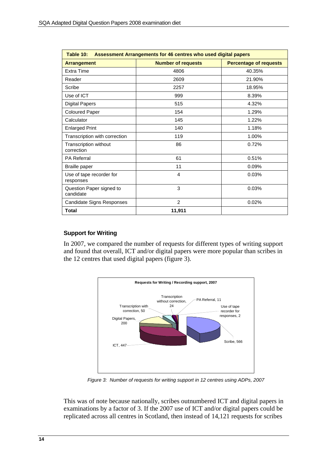| Table 10:<br>Assessment Arrangements for 46 centres who used digital papers |                           |                               |  |  |
|-----------------------------------------------------------------------------|---------------------------|-------------------------------|--|--|
| <b>Arrangement</b>                                                          | <b>Number of requests</b> | <b>Percentage of requests</b> |  |  |
| Extra Time                                                                  | 4806                      | 40.35%                        |  |  |
| Reader                                                                      | 2609                      | 21.90%                        |  |  |
| Scribe                                                                      | 2257                      | 18.95%                        |  |  |
| Use of ICT                                                                  | 999                       | 8.39%                         |  |  |
| <b>Digital Papers</b>                                                       | 515                       | 4.32%                         |  |  |
| <b>Coloured Paper</b>                                                       | 154                       | 1.29%                         |  |  |
| Calculator                                                                  | 145                       | 1.22%                         |  |  |
| <b>Enlarged Print</b>                                                       | 140                       | 1.18%                         |  |  |
| Transcription with correction                                               | 119                       | 1.00%                         |  |  |
| <b>Transcription without</b><br>correction                                  | 86                        | 0.72%                         |  |  |
| <b>PA Referral</b>                                                          | 61                        | 0.51%                         |  |  |
| <b>Braille paper</b>                                                        | 11                        | 0.09%                         |  |  |
| Use of tape recorder for<br>responses                                       | 4                         | 0.03%                         |  |  |
| Question Paper signed to<br>candidate                                       | 3                         | 0.03%                         |  |  |
| Candidate Signs Responses                                                   | $\mathcal{P}$             | 0.02%                         |  |  |
| Total                                                                       | 11,911                    |                               |  |  |

#### <span id="page-13-0"></span>**Support for Writing**

In 2007, we compared the number of requests for different types of writing support and found that overall, ICT and/or digital papers were more popular than scribes in the 12 centres that used digital papers (figure 3).



*Figure 3: Number of requests for writing support in 12 centres using ADPs, 2007* 

This was of note because nationally, scribes outnumbered ICT and digital papers in examinations by a factor of 3. If the 2007 use of ICT and/or digital papers could be replicated across all centres in Scotland, then instead of 14,121 requests for scribes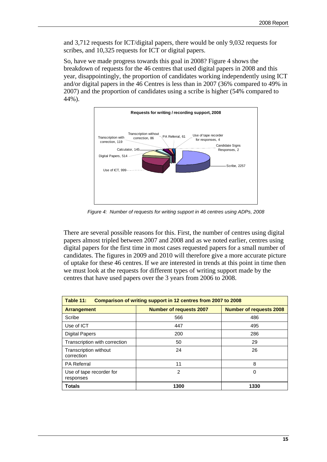and 3,712 requests for ICT/digital papers, there would be only 9,032 requests for scribes, and 10,325 requests for ICT or digital papers.

So, have we made progress towards this goal in 2008? Figure 4 shows the breakdown of requests for the 46 centres that used digital papers in 2008 and this year, disappointingly, the proportion of candidates working independently using ICT and/or digital papers in the 46 Centres is less than in 2007 (36% compared to 49% in 2007) and the proportion of candidates using a scribe is higher (54% compared to 44%).



*Figure 4: Number of requests for writing support in 46 centres using ADPs, 2008* 

There are several possible reasons for this. First, the number of centres using digital papers almost tripled between 2007 and 2008 and as we noted earlier, centres using digital papers for the first time in most cases requested papers for a small number of candidates. The figures in 2009 and 2010 will therefore give a more accurate picture of uptake for these 46 centres. If we are interested in trends at this point in time then we must look at the requests for different types of writing support made by the centres that have used papers over the 3 years from 2006 to 2008.

| Table 11:<br>Comparison of writing support in 12 centres from 2007 to 2008 |                                |                                |  |
|----------------------------------------------------------------------------|--------------------------------|--------------------------------|--|
| <b>Arrangement</b>                                                         | <b>Number of requests 2007</b> | <b>Number of requests 2008</b> |  |
| Scribe                                                                     | 566                            | 486                            |  |
| Use of ICT                                                                 | 447                            | 495                            |  |
| <b>Digital Papers</b>                                                      | 200                            | 286                            |  |
| Transcription with correction                                              | 50                             | 29                             |  |
| <b>Transcription without</b><br>correction                                 | 24                             | 26                             |  |
| <b>PA Referral</b>                                                         | 11                             | 8                              |  |
| Use of tape recorder for<br>responses                                      | 2                              | 0                              |  |
| <b>Totals</b>                                                              | 1300                           | 1330                           |  |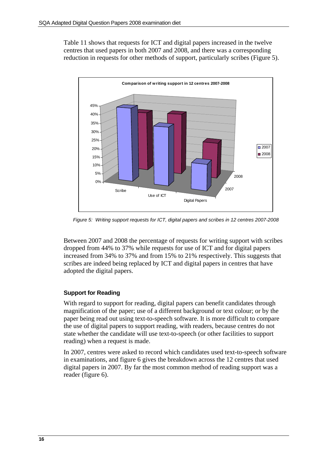Table 11 shows that requests for ICT and digital papers increased in the twelve centres that used papers in both 2007 and 2008, and there was a corresponding reduction in requests for other methods of support, particularly scribes (Figure 5).



*Figure 5: Writing support requests for ICT, digital papers and scribes in 12 centres 2007-2008* 

Between 2007 and 2008 the percentage of requests for writing support with scribes dropped from 44% to 37% while requests for use of ICT and for digital papers increased from 34% to 37% and from 15% to 21% respectively. This suggests that scribes are indeed being replaced by ICT and digital papers in centres that have adopted the digital papers.

#### <span id="page-15-0"></span>**Support for Reading**

With regard to support for reading, digital papers can benefit candidates through magnification of the paper; use of a different background or text colour; or by the paper being read out using text-to-speech software. It is more difficult to compare the use of digital papers to support reading, with readers, because centres do not state whether the candidate will use text-to-speech (or other facilities to support reading) when a request is made.

In 2007, centres were asked to record which candidates used text-to-speech software in examinations, and figure 6 gives the breakdown across the 12 centres that used digital papers in 2007. By far the most common method of reading support was a reader (figure 6).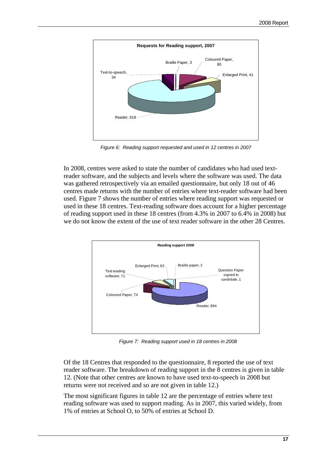

*Figure 6: Reading support requested and used in 12 centres in 2007* 

In 2008, centres were asked to state the number of candidates who had used textreader software, and the subjects and levels where the software was used. The data was gathered retrospectively via an emailed questionnaire, but only 18 out of 46 centres made returns with the number of entries where text-reader software had been used. Figure 7 shows the number of entries where reading support was requested or used in these 18 centres. Text-reading software does account for a higher percentage of reading support used in these 18 centres (from 4.3% in 2007 to 6.4% in 2008) but we do not know the extent of the use of text reader software in the other 28 Centres.



 *Figure 7: Reading support used in 18 centres in 2008* 

Of the 18 Centres that responded to the questionnaire, 8 reported the use of text reader software. The breakdown of reading support in the 8 centres is given in table 12. (Note that other centres are known to have used text-to-speech in 2008 but returns were not received and so are not given in table 12.)

The most significant figures in table 12 are the percentage of entries where text reading software was used to support reading. As in 2007, this varied widely, from 1% of entries at School O, to 50% of entries at School D.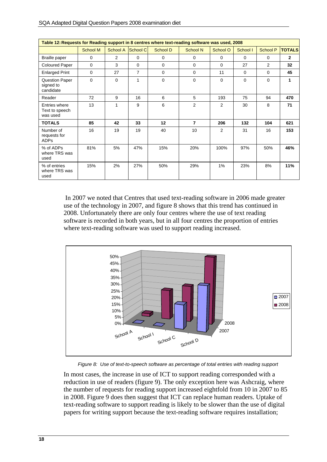| Table 12: Requests for Reading support in 8 centres where text-reading software was used, 2008 |                 |                 |                |          |                  |                |          |                 |                |
|------------------------------------------------------------------------------------------------|-----------------|-----------------|----------------|----------|------------------|----------------|----------|-----------------|----------------|
|                                                                                                | <b>School M</b> | <b>School A</b> | School C       | School D | <b>School N</b>  | School O       | School I | <b>School P</b> | <b>TOTALS</b>  |
| Braille paper                                                                                  | $\Omega$        | 2               | $\Omega$       | $\Omega$ | $\Omega$         | $\Omega$       | $\Omega$ | $\Omega$        | $\overline{2}$ |
| <b>Coloured Paper</b>                                                                          | $\Omega$        | 3               | $\Omega$       | $\Omega$ | $\Omega$         | $\Omega$       | 27       | $\overline{2}$  | 32             |
| <b>Enlarged Print</b>                                                                          | 0               | 27              | $\overline{7}$ | $\Omega$ | $\mathbf 0$      | 11             | 0        | $\Omega$        | 45             |
| <b>Question Paper</b><br>signed to<br>candidate                                                | $\Omega$        | $\Omega$        | 1              | $\Omega$ | $\Omega$         | $\Omega$       | $\Omega$ | $\Omega$        | 1              |
| Reader                                                                                         | 72              | 9               | 16             | 6        | 5                | 193            | 75       | 94              | 470            |
| Entries where<br>Text to speech<br>was used                                                    | 13              | 1               | 9              | 6        | 2                | $\overline{2}$ | 30       | 8               | 71             |
| <b>TOTALS</b>                                                                                  | 85              | 42              | 33             | 12       | $\overline{7}$   | 206            | 132      | 104             | 621            |
| Number of<br>requests for<br><b>ADPs</b>                                                       | 16              | 19              | 19             | 40       | 10 <sup>10</sup> | $\overline{2}$ | 31       | 16              | 153            |
| % of ADPs<br>where TRS was<br>used                                                             | 81%             | 5%              | 47%            | 15%      | 20%              | 100%           | 97%      | 50%             | 46%            |
| % of entries<br>where TRS was<br>used                                                          | 15%             | 2%              | 27%            | 50%      | 29%              | 1%             | 23%      | 8%              | 11%            |

 In 2007 we noted that Centres that used text-reading software in 2006 made greater use of the technology in 2007, and figure 8 shows that this trend has continued in 2008. Unfortunately there are only four centres where the use of text reading software is recorded in both years, but in all four centres the proportion of entries where text-reading software was used to support reading increased.



 *Figure 8: Use of text-to-speech software as percentage of total entries with reading support* 

In most cases, the increase in use of ICT to support reading corresponded with a reduction in use of readers (figure 9). The only exception here was Ashcraig, where the number of requests for reading support increased eightfold from 10 in 2007 to 85 in 2008. Figure 9 does then suggest that ICT can replace human readers. Uptake of text-reading software to support reading is likely to be slower than the use of digital papers for writing support because the text-reading software requires installation;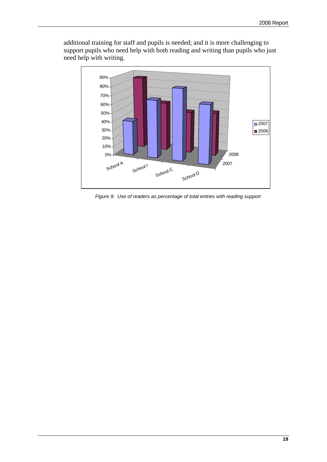

additional training for staff and pupils is needed; and it is more challenging to support pupils who need help with both reading and writing than pupils who just need help with writing.

 *Figure 9: Use of readers as percentage of total entries with reading support*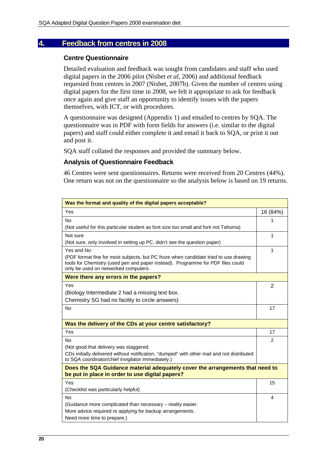#### <span id="page-19-1"></span><span id="page-19-0"></span>**4. Feedback from centres in 2008**

#### **Centre Questionnaire**

Detailed evaluation and feedback was sought from candidates and staff who used digital papers in the 2006 pilot (Nisbet *et al*, 2006) and additional feedback requested from centres in 2007 (Nisbet, 2007b). Given the number of centres using digital papers for the first time in 2008, we felt it appropriate to ask for feedback once again and give staff an opportunity to identify issues with the papers themselves, with ICT, or with procedures.

A questionnaire was designed (Appendix 1) and emailed to centres by SQA. The questionnaire was in PDF with form fields for answers (i.e. similar to the digital papers) and staff could either complete it and email it back to SQA, or print it out and post it.

SQA staff collated the responses and provided the summary below.

#### <span id="page-19-2"></span>**Analysis of Questionnaire Feedback**

46 Centres were sent questionnaires. Returns were received from 20 Centres (44%). One return was not on the questionnaire so the analysis below is based on 19 returns.

| Was the format and quality of the digital papers acceptable?                                                                                                                                                    |          |
|-----------------------------------------------------------------------------------------------------------------------------------------------------------------------------------------------------------------|----------|
| Yes                                                                                                                                                                                                             | 16 (84%) |
| No                                                                                                                                                                                                              | 1        |
| (Not useful for this particular student as font size too small and font not Tahoma)                                                                                                                             |          |
| Not sure                                                                                                                                                                                                        | 1        |
| (Not sure, only involved in setting up PC, didn't see the question paper)                                                                                                                                       |          |
| Yes and No                                                                                                                                                                                                      | 1        |
| (PDF format fine for most subjects, but PC froze when candidate tried to use drawing<br>tools for Chemistry (used pen and paper instead). Programme for PDF files could<br>only be used on networked computers. |          |
| Were there any errors in the papers?                                                                                                                                                                            |          |
| Yes                                                                                                                                                                                                             | 2        |
| (Biology Intermediate 2 had a missing text box.                                                                                                                                                                 |          |
| Chemistry SG had no facility to circle answers)                                                                                                                                                                 |          |
| <b>No</b>                                                                                                                                                                                                       | 17       |
| Was the delivery of the CDs at your centre satisfactory?                                                                                                                                                        |          |
| Yes                                                                                                                                                                                                             | 17       |
| <b>No</b>                                                                                                                                                                                                       | 2        |
| (Not good that delivery was staggered.                                                                                                                                                                          |          |
| CDs initially delivered without notification, "dumped" with other mail and not distributed<br>to SQA coordinator/chief invigilator immediately.)                                                                |          |
| Does the SQA Guidance material adequately cover the arrangements that need to                                                                                                                                   |          |
| be put in place in order to use digital papers?                                                                                                                                                                 |          |
| Yes                                                                                                                                                                                                             | 15       |
| (Checklist was particularly helpful)                                                                                                                                                                            |          |
| <b>No</b>                                                                                                                                                                                                       | 4        |
| (Guidance more complicated than necessary - reality easier.<br>More advice required re applying for backup arrangements.                                                                                        |          |
| Need more time to prepare.)                                                                                                                                                                                     |          |
|                                                                                                                                                                                                                 |          |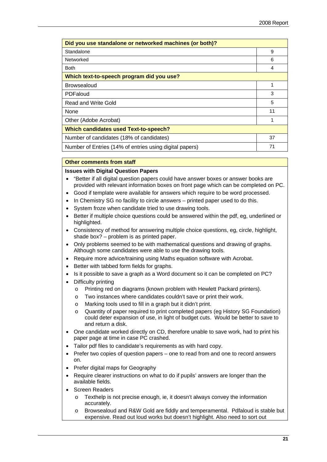| Did you use standalone or networked machines (or both)? |    |  |
|---------------------------------------------------------|----|--|
| Standalone                                              | 9  |  |
| Networked                                               | 6  |  |
| <b>Both</b>                                             | 4  |  |
| Which text-to-speech program did you use?               |    |  |
| <b>Browsealoud</b>                                      |    |  |
| PDFaloud                                                | 3  |  |
| <b>Read and Write Gold</b>                              | 5  |  |
| <b>None</b>                                             | 11 |  |
| Other (Adobe Acrobat)                                   |    |  |
| <b>Which candidates used Text-to-speech?</b>            |    |  |
| Number of candidates (18% of candidates)                | 37 |  |
| Number of Entries (14% of entries using digital papers) | 71 |  |

#### **Other comments from staff**

#### **Issues with Digital Question Papers**

- "Better if all digital question papers could have answer boxes or answer books are provided with relevant information boxes on front page which can be completed on PC.
- Good if template were available for answers which require to be word processed.
- In Chemistry SG no facility to circle answers printed paper used to do this.
- System froze when candidate tried to use drawing tools.
- Better if multiple choice questions could be answered within the pdf, eg, underlined or highlighted.
- Consistency of method for answering multiple choice questions, eg, circle, highlight, shade box? – problem is as printed paper.
- Only problems seemed to be with mathematical questions and drawing of graphs. Although some candidates were able to use the drawing tools.
- Require more advice/training using Maths equation software with Acrobat.
- Better with tabbed form fields for graphs.
- Is it possible to save a graph as a Word document so it can be completed on PC?
- Difficulty printing
	- o Printing red on diagrams (known problem with Hewlett Packard printers).
	- o Two instances where candidates couldn't save or print their work.
	- o Marking tools used to fill in a graph but it didn't print.
	- o Quantity of paper required to print completed papers (eg History SG Foundation) could deter expansion of use, in light of budget cuts. Would be better to save to and return a disk.
- One candidate worked directly on CD, therefore unable to save work, had to print his paper page at time in case PC crashed.
- Tailor pdf files to candidate's requirements as with hard copy.
- Prefer two copies of question papers one to read from and one to record answers on.
- Prefer digital maps for Geography
- Require clearer instructions on what to do if pupils' answers are longer than the available fields.
- Screen Readers
	- $\circ$  Texthelp is not precise enough, ie, it doesn't always convey the information accurately.
	- Browsealoud and R&W Gold are fiddly and temperamental. Pdfaloud is stable but expensive. Read out loud works but doesn't highlight. Also need to sort out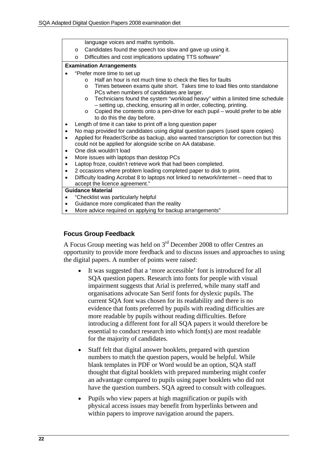|           |         | language voices and maths symbols.                                                       |
|-----------|---------|------------------------------------------------------------------------------------------|
|           | $\circ$ | Candidates found the speech too slow and gave up using it.                               |
|           | $\circ$ | Difficulties and cost implications updating TTS software"                                |
|           |         | <b>Examination Arrangements</b>                                                          |
|           |         | "Prefer more time to set up                                                              |
|           |         | Half an hour is not much time to check the files for faults<br>$\Omega$                  |
|           |         | Times between exams quite short. Takes time to load files onto standalone<br>$\circ$     |
|           |         | PCs when numbers of candidates are larger.                                               |
|           |         | Technicians found the system "workload heavy" within a limited time schedule<br>$\circ$  |
|           |         | - setting up, checking, ensuring all in order, collecting, printing.                     |
|           |         | Copied the contents onto a pen-drive for each pupil – would prefer to be able<br>$\circ$ |
|           |         | to do this the day before.                                                               |
|           |         | Length of time it can take to print off a long question paper                            |
| $\bullet$ |         | No map provided for candidates using digital question papers (used spare copies)         |
| $\bullet$ |         | Applied for Reader/Scribe as backup, also wanted transcription for correction but this   |
|           |         | could not be applied for alongside scribe on AA database.                                |
|           |         | One disk wouldn't load                                                                   |
| $\bullet$ |         | More issues with laptops than desktop PCs                                                |
|           |         | Laptop froze, couldn't retrieve work that had been completed.                            |
| ٠         |         | 2 occasions where problem loading completed paper to disk to print.                      |
| $\bullet$ |         | Difficulty loading Acrobat 8 to laptops not linked to network/internet – need that to    |
|           |         | accept the licence agreement."                                                           |
|           |         | <b>Guidance Material</b>                                                                 |
|           |         | "Checklist was particularly helpful                                                      |
|           |         | Guidance more complicated than the reality                                               |

More advice required on applying for backup arrangements"

#### <span id="page-21-0"></span>**Focus Group Feedback**

A Focus Group meeting was held on 3rd December 2008 to offer Centres an opportunity to provide more feedback and to discuss issues and approaches to using the digital papers. A number of points were raised:

- It was suggested that a 'more accessible' font is introduced for all SQA question papers. Research into fonts for people with visual impairment suggests that Arial is preferred, while many staff and organisations advocate San Serif fonts for dyslexic pupils. The current SQA font was chosen for its readability and there is no evidence that fonts preferred by pupils with reading difficulties are more readable by pupils without reading difficulties. Before introducing a different font for all SQA papers it would therefore be essential to conduct research into which font(s) are most readable for the majority of candidates.
- Staff felt that digital answer booklets, prepared with question numbers to match the question papers, would be helpful. While blank templates in PDF or Word would be an option, SQA staff thought that digital booklets with prepared numbering might confer an advantage compared to pupils using paper booklets who did not have the question numbers. SQA agreed to consult with colleagues.
- Pupils who view papers at high magnification or pupils with physical access issues may benefit from hyperlinks between and within papers to improve navigation around the papers.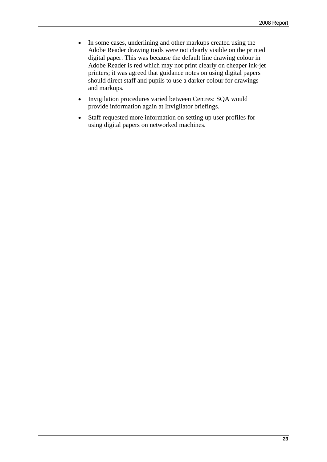- In some cases, underlining and other markups created using the Adobe Reader drawing tools were not clearly visible on the printed digital paper. This was because the default line drawing colour in Adobe Reader is red which may not print clearly on cheaper ink-jet printers; it was agreed that guidance notes on using digital papers should direct staff and pupils to use a darker colour for drawings and markups.
- Invigilation procedures varied between Centres: SQA would provide information again at Invigilator briefings.
- Staff requested more information on setting up user profiles for using digital papers on networked machines.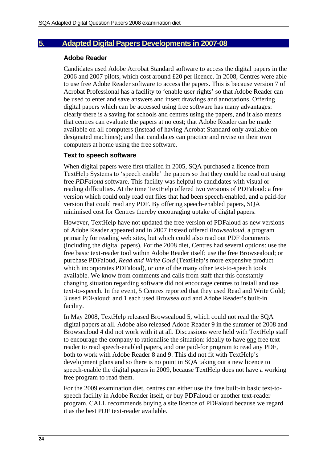#### <span id="page-23-1"></span><span id="page-23-0"></span>**5. Adapted Digital Papers Developments in 2007-08**

#### **Adobe Reader**

Candidates used Adobe Acrobat Standard software to access the digital papers in the 2006 and 2007 pilots, which cost around £20 per licence. In 2008, Centres were able to use free Adobe Reader software to access the papers. This is because version 7 of Acrobat Professional has a facility to 'enable user rights' so that Adobe Reader can be used to enter and save answers and insert drawings and annotations. Offering digital papers which can be accessed using free software has many advantages: clearly there is a saving for schools and centres using the papers, and it also means that centres can evaluate the papers at no cost; that Adobe Reader can be made available on all computers (instead of having Acrobat Standard only available on designated machines); and that candidates can practice and revise on their own computers at home using the free software.

#### <span id="page-23-2"></span>**Text to speech software**

When digital papers were first trialled in 2005, SQA purchased a licence from TextHelp Systems to 'speech enable' the papers so that they could be read out using free *PDFaloud* software. This facility was helpful to candidates with visual or reading difficulties. At the time TextHelp offered two versions of PDFaloud: a free version which could only read out files that had been speech-enabled, and a paid-for version that could read any PDF. By offering speech-enabled papers, SQA minimised cost for Centres thereby encouraging uptake of digital papers.

However, TextHelp have not updated the free version of PDFaloud as new versions of Adobe Reader appeared and in 2007 instead offered *Browsealoud*, a program primarily for reading web sites, but which could also read out PDF documents (including the digital papers). For the 2008 diet, Centres had several options: use the free basic text-reader tool within Adobe Reader itself; use the free Browsealoud; or purchase PDFaloud, *Read and Write Gold* (TextHelp's more expensive product which incorporates PDFaloud), or one of the many other text-to-speech tools available. We know from comments and calls from staff that this constantly changing situation regarding software did not encourage centres to install and use text-to-speech. In the event, 5 Centres reported that they used Read and Write Gold; 3 used PDFaloud; and 1 each used Browsealoud and Adobe Reader's built-in facility.

In May 2008, TextHelp released Browsealoud 5, which could not read the SQA digital papers at all. Adobe also released Adobe Reader 9 in the summer of 2008 and Browsealoud 4 did not work with it at all. Discussions were held with TextHelp staff to encourage the company to rationalise the situation: ideally to have one free text reader to read speech-enabled papers, and one paid-for program to read any PDF, both to work with Adobe Reader 8 and 9. This did not fit with TextHelp's development plans and so there is no point in SQA taking out a new licence to speech-enable the digital papers in 2009, because TextHelp does not have a working free program to read them.

For the 2009 examination diet, centres can either use the free built-in basic text-tospeech facility in Adobe Reader itself, or buy PDFaloud or another text-reader program. CALL recommends buying a site licence of PDFaloud because we regard it as the best PDF text-reader available.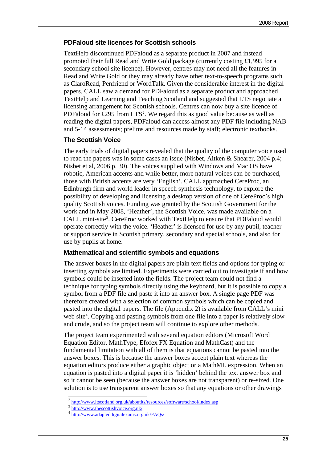#### <span id="page-24-0"></span>**PDFaloud site licences for Scottish schools**

TextHelp discontinued PDFaloud as a separate product in 2007 and instead promoted their full Read and Write Gold package (currently costing £1,995 for a secondary school site licence). However, centres may not need all the features in Read and Write Gold or they may already have other text-to-speech programs such as ClaroRead, Penfriend or WordTalk. Given the considerable interest in the digital papers, CALL saw a demand for PDFaloud as a separate product and approached TextHelp and Learning and Teaching Scotland and suggested that LTS negotiate a licensing arrangement for Scottish schools. Centres can now buy a site licence of PDFaloud for £[2](#page-24-3)95 from  $LTS<sup>2</sup>$ . We regard this as good value because as well as reading the digital papers, PDFaloud can access almost any PDF file including NAB and 5-14 assessments; prelims and resources made by staff; electronic textbooks.

#### <span id="page-24-1"></span>**The Scottish Voice**

The early trials of digital papers revealed that the quality of the computer voice used to read the papers was in some cases an issue (Nisbet, Aitken & Shearer, 2004 p.4; Nisbet et al, 2006 p. 30). The voices supplied with Windows and Mac OS have robotic, American accents and while better, more natural voices can be purchased, those with British accents are very 'English'. CALL approached CereProc, an Edinburgh firm and world leader in speech synthesis technology, to explore the possibility of developing and licensing a desktop version of one of CereProc's high quality Scottish voices. Funding was granted by the Scottish Government for the work and in May 2008, 'Heather', the Scottish Voice, was made available on a CALL mini-site<sup>[3](#page-24-4)</sup>. CereProc worked with TextHelp to ensure that PDFaloud would operate correctly with the voice. 'Heather' is licensed for use by any pupil, teacher or support service in Scottish primary, secondary and special schools, and also for use by pupils at home.

#### <span id="page-24-2"></span>**Mathematical and scientific symbols and equations**

The answer boxes in the digital papers are plain text fields and options for typing or inserting symbols are limited. Experiments were carried out to investigate if and how symbols could be inserted into the fields. The project team could not find a technique for typing symbols directly using the keyboard, but it is possible to copy a symbol from a PDF file and paste it into an answer box. A single page PDF was therefore created with a selection of common symbols which can be copied and pasted into the digital papers. The file (Appendix 2) is available from CALL's mini web site<sup>[4](#page-24-5)</sup>. Copying and pasting symbols from one file into a paper is relatively slow and crude, and so the project team will continue to explore other methods.

The project team experimented with several equation editors (Microsoft Word Equation Editor, MathType, Efofex FX Equation and MathCast) and the fundamental limitation with all of them is that equations cannot be pasted into the answer boxes. This is because the answer boxes accept plain text whereas the equation editors produce either a graphic object or a MathML expression. When an equation is pasted into a digital paper it is 'hidden' behind the text answer box and so it cannot be seen (because the answer boxes are not transparent) or re-sized. One solution is to use transparent answer boxes so that any equations or other drawings

-

<span id="page-24-3"></span><http://www.ltscotland.org.uk/aboutlts/resources/software/school/index.asp><br>
3 <http://www.thescottishvoice.org.uk/><br> <http://www.adapteddigitalexams.org.uk/FAQs/>

<span id="page-24-5"></span><span id="page-24-4"></span>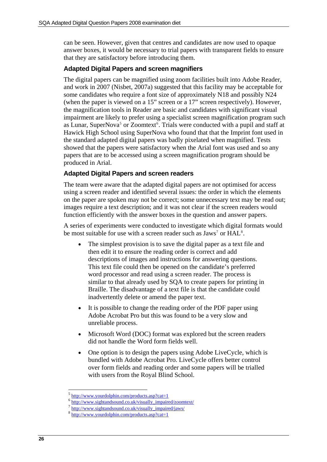can be seen. However, given that centres and candidates are now used to opaque answer boxes, it would be necessary to trial papers with transparent fields to ensure that they are satisfactory before introducing them.

#### <span id="page-25-0"></span>**Adapted Digital Papers and screen magnifiers**

The digital papers can be magnified using zoom facilities built into Adobe Reader, and work in 2007 (Nisbet, 2007a) suggested that this facility may be acceptable for some candidates who require a font size of approximately N18 and possibly N24 (when the paper is viewed on a 15" screen or a 17" screen respectively). However, the magnification tools in Reader are basic and candidates with significant visual impairment are likely to prefer using a specialist screen magnification program such as Lunar, SuperNova<sup>[5](#page-25-2)</sup> or Zoomtext<sup>[6](#page-25-3)</sup>. Trials were conducted with a pupil and staff at Hawick High School using SuperNova who found that that the Imprint font used in the standard adapted digital papers was badly pixelated when magnified. Tests showed that the papers were satisfactory when the Arial font was used and so any papers that are to be accessed using a screen magnification program should be produced in Arial.

#### <span id="page-25-1"></span>**Adapted Digital Papers and screen readers**

The team were aware that the adapted digital papers are not optimised for access using a screen reader and identified several issues: the order in which the elements on the paper are spoken may not be correct; some unnecessary text may be read out; images require a text description; and it was not clear if the screen readers would function efficiently with the answer boxes in the question and answer papers.

A series of experiments were conducted to investigate which digital formats would be most suitable for use with a screen reader such as  $Jaws^7$  $Jaws^7$  or  $HAL<sup>8</sup>$  $HAL<sup>8</sup>$  $HAL<sup>8</sup>$ .

- The simplest provision is to save the digital paper as a text file and then edit it to ensure the reading order is correct and add descriptions of images and instructions for answering questions. This text file could then be opened on the candidate's preferred word processor and read using a screen reader. The process is similar to that already used by SQA to create papers for printing in Braille. The disadvantage of a text file is that the candidate could inadvertently delete or amend the paper text.
- It is possible to change the reading order of the PDF paper using Adobe Acrobat Pro but this was found to be a very slow and unreliable process.
- Microsoft Word (DOC) format was explored but the screen readers did not handle the Word form fields well.
- One option is to design the papers using Adobe LiveCycle, which is bundled with Adobe Acrobat Pro. LiveCycle offers better control over form fields and reading order and some papers will be trialled with users from the Royal Blind School.

-

<span id="page-25-3"></span><span id="page-25-2"></span>

http://www.yourdolphin.com/products.asp?cat=1<br>[http://www.sightandsound.co.uk/visually\\_impaired/zoomtext/](http://www.sightandsound.co.uk/visually_impaired/zoomtext/)<br>[http://www.sightandsound.co.uk/visually\\_impaired/jaws/](http://www.sightandsound.co.uk/visually_impaired/jaws/)<br>http://www.yourdolphin.com/products.asp?cat=1

<span id="page-25-5"></span><span id="page-25-4"></span>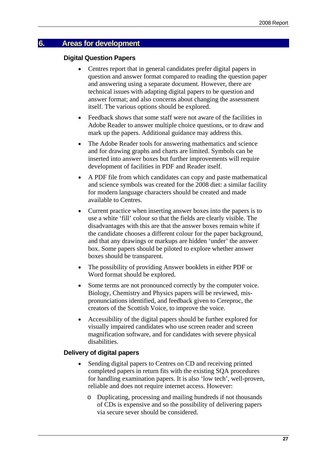#### <span id="page-26-1"></span><span id="page-26-0"></span>**6. Areas for development**

#### **Digital Question Papers**

- Centres report that in general candidates prefer digital papers in question and answer format compared to reading the question paper and answering using a separate document. However, there are technical issues with adapting digital papers to be question and answer format; and also concerns about changing the assessment itself. The various options should be explored.
- Feedback shows that some staff were not aware of the facilities in Adobe Reader to answer multiple choice questions, or to draw and mark up the papers. Additional guidance may address this.
- The Adobe Reader tools for answering mathematics and science and for drawing graphs and charts are limited. Symbols can be inserted into answer boxes but further improvements will require development of facilities in PDF and Reader itself.
- A PDF file from which candidates can copy and paste mathematical and science symbols was created for the 2008 diet: a similar facility for modern language characters should be created and made available to Centres.
- Current practice when inserting answer boxes into the papers is to use a white 'fill' colour so that the fields are clearly visible. The disadvantages with this are that the answer boxes remain white if the candidate chooses a different colour for the paper background, and that any drawings or markups are hidden 'under' the answer box. Some papers should be piloted to explore whether answer boxes should be transparent.
- The possibility of providing Answer booklets in either PDF or Word format should be explored.
- Some terms are not pronounced correctly by the computer voice. Biology, Chemistry and Physics papers will be reviewed, mispronunciations identified, and feedback given to Cereproc, the creators of the Scottish Voice, to improve the voice.
- Accessibility of the digital papers should be further explored for visually impaired candidates who use screen reader and screen magnification software, and for candidates with severe physical disabilities.

#### <span id="page-26-2"></span>**Delivery of digital papers**

- Sending digital papers to Centres on CD and receiving printed completed papers in return fits with the existing SQA procedures for handling examination papers. It is also 'low tech', well-proven, reliable and does not require internet access. However:
	- o Duplicating, processing and mailing hundreds if not thousands of CDs is expensive and so the possibility of delivering papers via secure sever should be considered.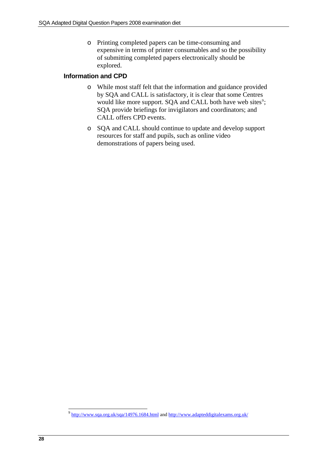o Printing completed papers can be time-consuming and expensive in terms of printer consumables and so the possibility of submitting completed papers electronically should be explored.

#### <span id="page-27-0"></span>**Information and CPD**

- o While most staff felt that the information and guidance provided by SQA and CALL is satisfactory, it is clear that some Centres would like more support. SQA and CALL both have web sites<sup>[9](#page-27-1)</sup>; SQA provide briefings for invigilators and coordinators; and CALL offers CPD events.
- o SQA and CALL should continue to update and develop support resources for staff and pupils, such as online video demonstrations of papers being used.

<span id="page-27-1"></span><sup>-</sup><sup>9</sup> <http://www.sqa.org.uk/sqa/14976.1684.html> and <http://www.adapteddigitalexams.org.uk/>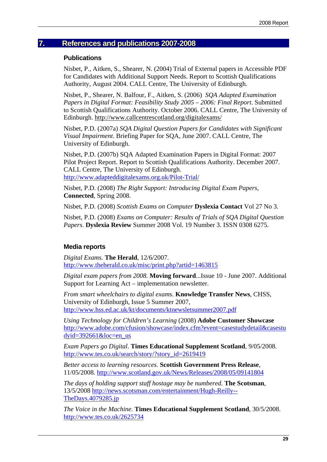## <span id="page-28-1"></span><span id="page-28-0"></span>**7. References and publications 2007-2008**

#### **Publications**

Nisbet, P., Aitken, S., Shearer, N. (2004) Trial of External papers in Accessible PDF for Candidates with Additional Support Needs. Report to Scottish Qualifications Authority, August 2004. CALL Centre, The University of Edinburgh.

Nisbet, P., Shearer, N. Balfour, F., Aitken, S. (2006) *SQA Adapted Examination Papers in Digital Format: Feasibility Study 2005 – 2006: Final Report*. Submitted to Scottish Qualifications Authority. October 2006. CALL Centre, The University of Edinburgh. <http://www.callcentrescotland.org/digitalexams/>

Nisbet, P.D. (2007a) *SQA Digital Question Papers for Candidates with Significant Visual Impairment*. Briefing Paper for SQA, June 2007. CALL Centre, The University of Edinburgh.

Nisbet, P.D. (2007b) SQA Adapted Examination Papers in Digital Format: 2007 Pilot Project Report. Report to Scottish Qualifications Authority. December 2007. CALL Centre, The University of Edinburgh. <http://www.adapteddigitalexams.org.uk/Pilot-Trial/>

Nisbet, P.D. (2008) *The Right Support: Introducing Digital Exam Papers*, **Connected**, Spring 2008.

Nisbet, P.D. (2008) *Scottish Exams on Computer* **Dyslexia Contact** Vol 27 No 3.

Nisbet, P.D. (2008) *Exams on Computer: Results of Trials of SQA Digital Question Papers*. **Dyslexia Review** Summer 2008 Vol. 19 Number 3. ISSN 0308 6275.

### <span id="page-28-2"></span>**Media reports**

*Digital Exams.* **The Herald**, 12/6/2007. <http://www.theherald.co.uk/misc/print.php?artid=1463815>

*Digital exam papers from 2008.* **Moving forward**...Issue 10 - June 2007. Additional Support for Learning Act – implementation newsletter.

*From smart wheelchairs to digital exams.* **Knowledge Transfer News**, CHSS, University of Edinburgh, Issue 5 Summer 2007, <http://www.hss.ed.ac.uk/kt/documents/ktnewsletsummer2007.pdf>

*Using Technology for Children's Learning* (2008) **Adobe Customer Showcase** [http://www.adobe.com/cfusion/showcase/index.cfm?event=casestudydetail&casestu](http://www.adobe.com/cfusion/showcase/index.cfm?event=casestudydetail&casestudyid=392661&loc=en_us) dyid= $392661\&$ loc=en\_us

*Exam Papers go Digital*. **Times Educational Supplement Scotland**, 9/05/2008. [http://www.tes.co.uk/search/story/?story\\_id=2619419](http://www.tes.co.uk/search/story/?story_id=2619419)

*Better access to learning resources*. **Scottish Government Press Release**, 11/05/2008. <http://www.scotland.gov.uk/News/Releases/2008/05/09141804>

*The days of holding support staff hostage may be numbered.* **The Scotsman**, 13/5/2008 [http://news.scotsman.com/entertainment/Hugh-Reilly--](http://news.scotsman.com/entertainment/Hugh-Reilly--TheDays.4079285.jp) [TheDays.4079285.jp](http://news.scotsman.com/entertainment/Hugh-Reilly--TheDays.4079285.jp) 

*The Voice in the Machine.* **Times Educational Supplement Scotland**, 30/5/2008. <http://www.tes.co.uk/2625734>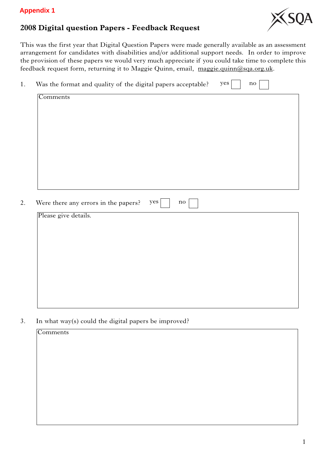#### **Appendix 1**

## **2008 Digital question Papers - Feedback Request**



This was the first year that Digital Question Papers were made generally available as an assessment arrangement for candidates with disabilities and/or additional support needs. In order to improve the provision of these papers we would very much appreciate if you could take time to complete this feedback request form, returning it to Maggie Quinn, email, maggie.quinn@sqa.org.uk.

| Comments             |                                      |     |               |  |
|----------------------|--------------------------------------|-----|---------------|--|
|                      |                                      |     |               |  |
|                      |                                      |     |               |  |
|                      |                                      |     |               |  |
|                      |                                      |     |               |  |
|                      |                                      |     |               |  |
|                      |                                      |     |               |  |
|                      |                                      |     |               |  |
|                      |                                      |     |               |  |
|                      |                                      |     |               |  |
|                      |                                      |     |               |  |
|                      |                                      |     |               |  |
|                      |                                      |     |               |  |
|                      |                                      |     |               |  |
|                      |                                      |     |               |  |
|                      | Were there any errors in the papers? | yes | $\mathbf{no}$ |  |
|                      |                                      |     |               |  |
|                      |                                      |     |               |  |
| Please give details. |                                      |     |               |  |
|                      |                                      |     |               |  |
|                      |                                      |     |               |  |
|                      |                                      |     |               |  |
|                      |                                      |     |               |  |
|                      |                                      |     |               |  |
|                      |                                      |     |               |  |

3. In what way(s) could the digital papers be improved?

Comments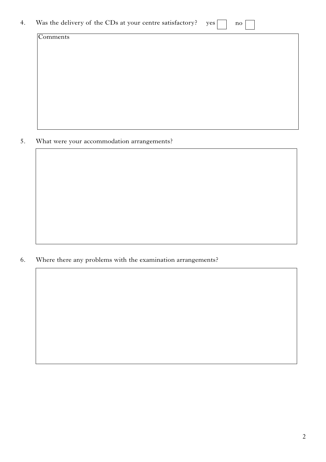| 4. | Was the delivery of the CDs at your centre satisfactory? yes |  |  |  |  |
|----|--------------------------------------------------------------|--|--|--|--|
|----|--------------------------------------------------------------|--|--|--|--|

 $\mathop{\mathrm{no}}$ 

Comments

5. What were your accommodation arrangements?

6. Where there any problems with the examination arrangements?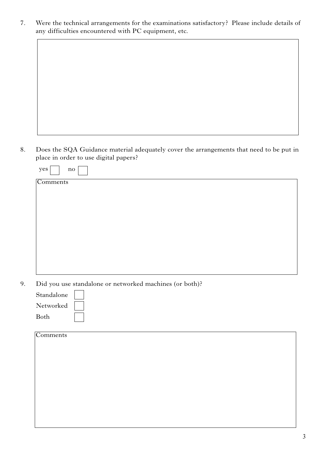7. Were the technical arrangements for the examinations satisfactory? Please include details of any difficulties encountered with PC equipment, etc.

8. Does the SQA Guidance material adequately cover the arrangements that need to be put in place in order to use digital papers?

| yes  <br>no |                                                                                                                 |  |  |
|-------------|-----------------------------------------------------------------------------------------------------------------|--|--|
| Comments    |                                                                                                                 |  |  |
|             |                                                                                                                 |  |  |
|             |                                                                                                                 |  |  |
|             |                                                                                                                 |  |  |
|             |                                                                                                                 |  |  |
|             |                                                                                                                 |  |  |
|             |                                                                                                                 |  |  |
|             |                                                                                                                 |  |  |
|             |                                                                                                                 |  |  |
|             |                                                                                                                 |  |  |
| __ _ _      | rang and the second contract and a second second second to the second second to the second second to the second |  |  |

9. Did you use standalone or networked machines (or both)?

| Standalone |  |
|------------|--|
| Networked  |  |
| Both       |  |

| Comments |
|----------|
|          |
|          |
|          |
|          |
|          |
|          |
|          |
|          |
|          |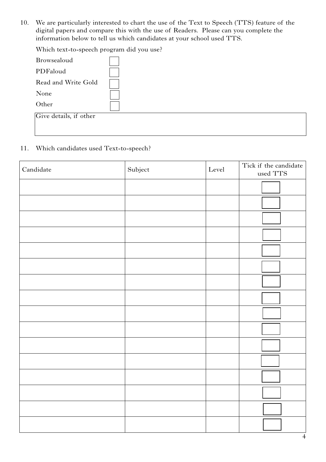10. We are particularly interested to chart the use of the Text to Speech (TTS) feature of the digital papers and compare this with the use of Readers. Please can you complete the information below to tell us which candidates at your school used TTS.

Which text-to-speech program did you use?

| Browsealoud            |  |
|------------------------|--|
| PDFaloud               |  |
| Read and Write Gold    |  |
| None                   |  |
| Other                  |  |
| Give details, if other |  |
|                        |  |

#### 11. Which candidates used Text-to-speech?

| $\label{concl} \textbf{C} \textbf{and} \textbf{id} \textbf{ate}$ | Subject | Level | Tick if the candidate<br>used TTS |
|------------------------------------------------------------------|---------|-------|-----------------------------------|
|                                                                  |         |       |                                   |
|                                                                  |         |       |                                   |
|                                                                  |         |       |                                   |
|                                                                  |         |       |                                   |
|                                                                  |         |       |                                   |
|                                                                  |         |       |                                   |
|                                                                  |         |       |                                   |
|                                                                  |         |       |                                   |
|                                                                  |         |       |                                   |
|                                                                  |         |       |                                   |
|                                                                  |         |       |                                   |
|                                                                  |         |       |                                   |
|                                                                  |         |       |                                   |
|                                                                  |         |       |                                   |
|                                                                  |         |       |                                   |
|                                                                  |         |       |                                   |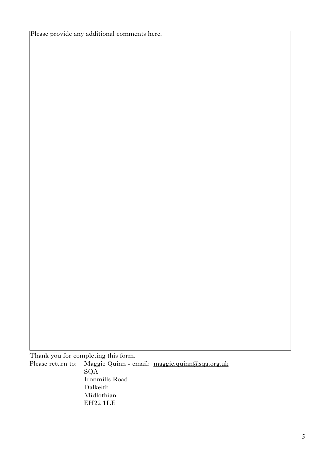Please provide any additional comments here.

Thank you for completing this form. Please return to: Maggie Quinn - email: maggie.quinn@sqa.org.uk SQA Ironmills Road Dalkeith Midlothian EH22 1LE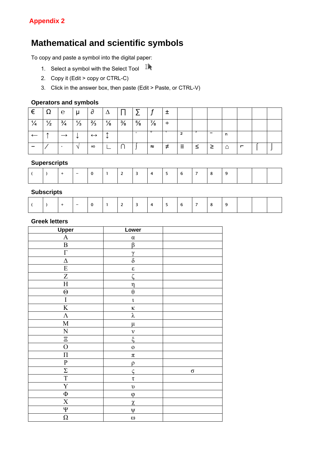## **Mathematical and scientific symbols**

To copy and paste a symbol into the digital paper:

- 1. Select a symbol with the Select Tool
- 2. Copy it (Edit > copy or CTRL-C)
- 3. Click in the answer box, then paste (Edit > Paste, or CTRL-V)

#### **Operators and symbols**

| €             | $\Omega$      | l e           | ı u           | $\sigma$          | Δ             |               |               |               |        |    |  |   |   |  |
|---------------|---------------|---------------|---------------|-------------------|---------------|---------------|---------------|---------------|--------|----|--|---|---|--|
| $\frac{1}{4}$ | $\frac{1}{2}$ | $\frac{3}{4}$ | $\frac{1}{3}$ | $\frac{2}{3}$     | $\frac{1}{8}$ | $\frac{3}{8}$ | $\frac{5}{8}$ | $\frac{7}{8}$ | $\div$ |    |  |   |   |  |
|               |               |               | ◡             | $\leftrightarrow$ |               |               |               |               |        |    |  | n |   |  |
|               |               |               | $\mathcal{N}$ | $\infty$          |               |               |               | $\approx$     | ≠      | Ξ. |  | △ | ┍ |  |

#### **Superscripts**

|  |  |  | - |  |  |  |  |  |  |  |  |  |  |  |  |  |
|--|--|--|---|--|--|--|--|--|--|--|--|--|--|--|--|--|
|--|--|--|---|--|--|--|--|--|--|--|--|--|--|--|--|--|

#### **Subscripts**

|  |  |  | $\overline{\phantom{0}}$ |  |  | ∽ | - |  |  |  | - |  |  |  |  |  |
|--|--|--|--------------------------|--|--|---|---|--|--|--|---|--|--|--|--|--|
|--|--|--|--------------------------|--|--|---|---|--|--|--|---|--|--|--|--|--|

#### **Greek letters**

| <b>Upper</b>            | Lower               |          |
|-------------------------|---------------------|----------|
| $\mathbf{A}$            | $\alpha$            |          |
| $\, {\bf B}$            | β                   |          |
| $\Gamma$                | $\gamma$            |          |
| $\Delta$                | $\delta$            |          |
| ${\bf E}$               | $\pmb{\varepsilon}$ |          |
| Z                       | $\zeta$             |          |
| $\rm H$                 | $\eta$              |          |
| $\Theta$                | $\theta$            |          |
| I                       | $\mathfrak t$       |          |
| $\overline{K}$          | $\kappa$            |          |
| $\Lambda$               | λ                   |          |
| $\mathbf M$             | $\mu$               |          |
| ${\bf N}$               | $\mathbf{V}$        |          |
| $\Xi$                   | $\xi$               |          |
| $\overline{O}$          | $\mathbf 0$         |          |
| $\boldsymbol{\Pi}$      | $\pi$               |          |
| ${\bf P}$               | $\rho$              |          |
| $\overline{\Sigma}$     | $\zeta$             | $\sigma$ |
| $\overline{T}$          | $\tau$              |          |
| $\overline{\mathrm{Y}}$ | $\upsilon$          |          |
| $\Phi$                  | $\varphi$           |          |
| $\mathbf X$             | $\chi$              |          |
| $\overline{\Psi}$       | $\Psi$              |          |
| $\Omega$                | $\omega$            |          |